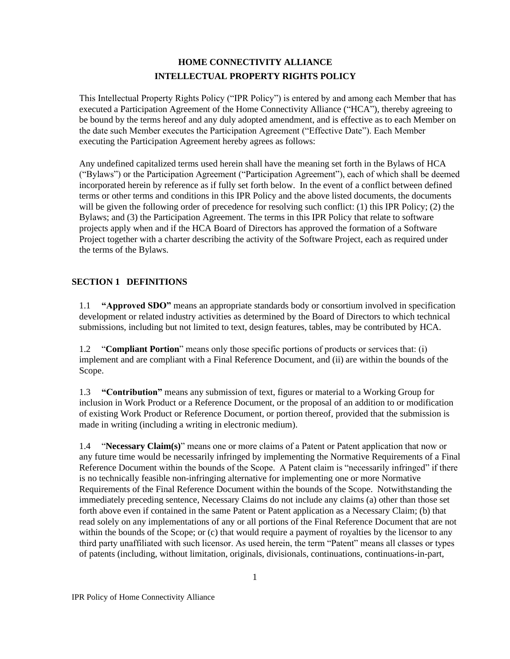# **HOME CONNECTIVITY ALLIANCE INTELLECTUAL PROPERTY RIGHTS POLICY**

This Intellectual Property Rights Policy ("IPR Policy") is entered by and among each Member that has executed a Participation Agreement of the Home Connectivity Alliance ("HCA"), thereby agreeing to be bound by the terms hereof and any duly adopted amendment, and is effective as to each Member on the date such Member executes the Participation Agreement ("Effective Date"). Each Member executing the Participation Agreement hereby agrees as follows:

Any undefined capitalized terms used herein shall have the meaning set forth in the Bylaws of HCA ("Bylaws") or the Participation Agreement ("Participation Agreement"), each of which shall be deemed incorporated herein by reference as if fully set forth below. In the event of a conflict between defined terms or other terms and conditions in this IPR Policy and the above listed documents, the documents will be given the following order of precedence for resolving such conflict: (1) this IPR Policy; (2) the Bylaws; and (3) the Participation Agreement. The terms in this IPR Policy that relate to software projects apply when and if the HCA Board of Directors has approved the formation of a Software Project together with a charter describing the activity of the Software Project, each as required under the terms of the Bylaws.

# **SECTION 1 DEFINITIONS**

1.1 **"Approved SDO"** means an appropriate standards body or consortium involved in specification development or related industry activities as determined by the Board of Directors to which technical submissions, including but not limited to text, design features, tables, may be contributed by HCA.

1.2 "**Compliant Portion**" means only those specific portions of products or services that: (i) implement and are compliant with a Final Reference Document, and (ii) are within the bounds of the Scope.

1.3 **"Contribution"** means any submission of text, figures or material to a Working Group for inclusion in Work Product or a Reference Document, or the proposal of an addition to or modification of existing Work Product or Reference Document, or portion thereof, provided that the submission is made in writing (including a writing in electronic medium).

1.4 "**Necessary Claim(s)**" means one or more claims of a Patent or Patent application that now or any future time would be necessarily infringed by implementing the Normative Requirements of a Final Reference Document within the bounds of the Scope. A Patent claim is "necessarily infringed" if there is no technically feasible non-infringing alternative for implementing one or more Normative Requirements of the Final Reference Document within the bounds of the Scope. Notwithstanding the immediately preceding sentence, Necessary Claims do not include any claims (a) other than those set forth above even if contained in the same Patent or Patent application as a Necessary Claim; (b) that read solely on any implementations of any or all portions of the Final Reference Document that are not within the bounds of the Scope; or (c) that would require a payment of royalties by the licensor to any third party unaffiliated with such licensor. As used herein, the term "Patent" means all classes or types of patents (including, without limitation, originals, divisionals, continuations, continuations-in-part,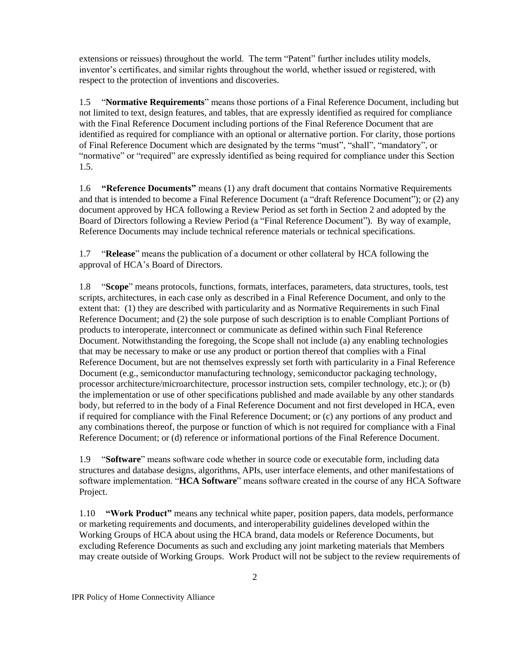extensions or reissues) throughout the world. The term "Patent" further includes utility models, inventor's certificates, and similar rights throughout the world, whether issued or registered, with respect to the protection of inventions and discoveries.

1.5 "**Normative Requirements**" means those portions of a Final Reference Document, including but not limited to text, design features, and tables, that are expressly identified as required for compliance with the Final Reference Document including portions of the Final Reference Document that are identified as required for compliance with an optional or alternative portion. For clarity, those portions of Final Reference Document which are designated by the terms "must", "shall", "mandatory", or "normative" or "required" are expressly identified as being required for compliance under this Section 1.5.

1.6 **"Reference Documents"** means (1) any draft document that contains Normative Requirements and that is intended to become a Final Reference Document (a "draft Reference Document"); or (2) any document approved by HCA following a Review Period as set forth in Section 2 and adopted by the Board of Directors following a Review Period (a "Final Reference Document"). By way of example, Reference Documents may include technical reference materials or technical specifications.

1.7 "**Release**" means the publication of a document or other collateral by HCA following the approval of HCA's Board of Directors.

1.8 "**Scope**" means protocols, functions, formats, interfaces, parameters, data structures, tools, test scripts, architectures, in each case only as described in a Final Reference Document, and only to the extent that: (1) they are described with particularity and as Normative Requirements in such Final Reference Document; and (2) the sole purpose of such description is to enable Compliant Portions of products to interoperate, interconnect or communicate as defined within such Final Reference Document. Notwithstanding the foregoing, the Scope shall not include (a) any enabling technologies that may be necessary to make or use any product or portion thereof that complies with a Final Reference Document, but are not themselves expressly set forth with particularity in a Final Reference Document (e.g., semiconductor manufacturing technology, semiconductor packaging technology, processor architecture/microarchitecture, processor instruction sets, compiler technology, etc.); or (b) the implementation or use of other specifications published and made available by any other standards body, but referred to in the body of a Final Reference Document and not first developed in HCA, even if required for compliance with the Final Reference Document; or (c) any portions of any product and any combinations thereof, the purpose or function of which is not required for compliance with a Final Reference Document; or (d) reference or informational portions of the Final Reference Document.

1.9 "**Software**" means software code whether in source code or executable form, including data structures and database designs, algorithms, APIs, user interface elements, and other manifestations of software implementation. "**HCA Software**" means software created in the course of any HCA Software Project.

1.10 **"Work Product"** means any technical white paper, position papers, data models, performance or marketing requirements and documents, and interoperability guidelines developed within the Working Groups of HCA about using the HCA brand, data models or Reference Documents, but excluding Reference Documents as such and excluding any joint marketing materials that Members may create outside of Working Groups. Work Product will not be subject to the review requirements of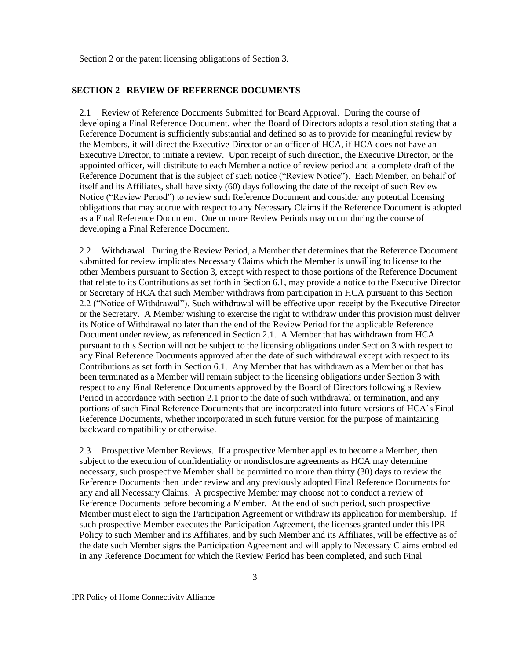Section 2 or the patent licensing obligations of Section 3.

#### **SECTION 2 REVIEW OF REFERENCE DOCUMENTS**

2.1 Review of Reference Documents Submitted for Board Approval. During the course of developing a Final Reference Document, when the Board of Directors adopts a resolution stating that a Reference Document is sufficiently substantial and defined so as to provide for meaningful review by the Members, it will direct the Executive Director or an officer of HCA, if HCA does not have an Executive Director, to initiate a review. Upon receipt of such direction, the Executive Director, or the appointed officer, will distribute to each Member a notice of review period and a complete draft of the Reference Document that is the subject of such notice ("Review Notice"). Each Member, on behalf of itself and its Affiliates, shall have sixty (60) days following the date of the receipt of such Review Notice ("Review Period") to review such Reference Document and consider any potential licensing obligations that may accrue with respect to any Necessary Claims if the Reference Document is adopted as a Final Reference Document. One or more Review Periods may occur during the course of developing a Final Reference Document.

2.2 Withdrawal. During the Review Period, a Member that determines that the Reference Document submitted for review implicates Necessary Claims which the Member is unwilling to license to the other Members pursuant to Section 3, except with respect to those portions of the Reference Document that relate to its Contributions as set forth in Section 6.1, may provide a notice to the Executive Director or Secretary of HCA that such Member withdraws from participation in HCA pursuant to this Section 2.2 ("Notice of Withdrawal"). Such withdrawal will be effective upon receipt by the Executive Director or the Secretary. A Member wishing to exercise the right to withdraw under this provision must deliver its Notice of Withdrawal no later than the end of the Review Period for the applicable Reference Document under review, as referenced in Section 2.1. A Member that has withdrawn from HCA pursuant to this Section will not be subject to the licensing obligations under Section 3 with respect to any Final Reference Documents approved after the date of such withdrawal except with respect to its Contributions as set forth in Section 6.1. Any Member that has withdrawn as a Member or that has been terminated as a Member will remain subject to the licensing obligations under Section 3 with respect to any Final Reference Documents approved by the Board of Directors following a Review Period in accordance with Section 2.1 prior to the date of such withdrawal or termination, and any portions of such Final Reference Documents that are incorporated into future versions of HCA's Final Reference Documents, whether incorporated in such future version for the purpose of maintaining backward compatibility or otherwise.

2.3 Prospective Member Reviews. If a prospective Member applies to become a Member, then subject to the execution of confidentiality or nondisclosure agreements as HCA may determine necessary, such prospective Member shall be permitted no more than thirty (30) days to review the Reference Documents then under review and any previously adopted Final Reference Documents for any and all Necessary Claims. A prospective Member may choose not to conduct a review of Reference Documents before becoming a Member. At the end of such period, such prospective Member must elect to sign the Participation Agreement or withdraw its application for membership. If such prospective Member executes the Participation Agreement, the licenses granted under this IPR Policy to such Member and its Affiliates, and by such Member and its Affiliates, will be effective as of the date such Member signs the Participation Agreement and will apply to Necessary Claims embodied in any Reference Document for which the Review Period has been completed, and such Final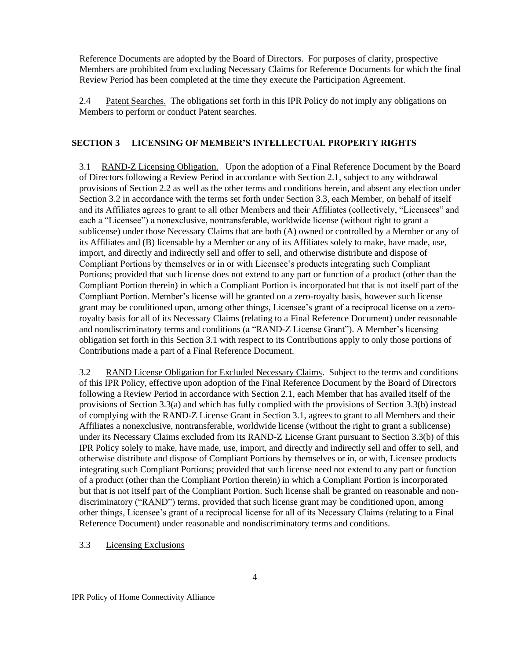Reference Documents are adopted by the Board of Directors. For purposes of clarity, prospective Members are prohibited from excluding Necessary Claims for Reference Documents for which the final Review Period has been completed at the time they execute the Participation Agreement.

2.4 Patent Searches. The obligations set forth in this IPR Policy do not imply any obligations on Members to perform or conduct Patent searches.

## **SECTION 3 LICENSING OF MEMBER'S INTELLECTUAL PROPERTY RIGHTS**

3.1 RAND-Z Licensing Obligation. Upon the adoption of a Final Reference Document by the Board of Directors following a Review Period in accordance with Section 2.1, subject to any withdrawal provisions of Section 2.2 as well as the other terms and conditions herein, and absent any election under Section 3.2 in accordance with the terms set forth under Section 3.3, each Member, on behalf of itself and its Affiliates agrees to grant to all other Members and their Affiliates (collectively, "Licensees" and each a "Licensee") a nonexclusive, nontransferable, worldwide license (without right to grant a sublicense) under those Necessary Claims that are both (A) owned or controlled by a Member or any of its Affiliates and (B) licensable by a Member or any of its Affiliates solely to make, have made, use, import, and directly and indirectly sell and offer to sell, and otherwise distribute and dispose of Compliant Portions by themselves or in or with Licensee's products integrating such Compliant Portions; provided that such license does not extend to any part or function of a product (other than the Compliant Portion therein) in which a Compliant Portion is incorporated but that is not itself part of the Compliant Portion. Member's license will be granted on a zero-royalty basis, however such license grant may be conditioned upon, among other things, Licensee's grant of a reciprocal license on a zeroroyalty basis for all of its Necessary Claims (relating to a Final Reference Document) under reasonable and nondiscriminatory terms and conditions (a "RAND-Z License Grant"). A Member's licensing obligation set forth in this Section 3.1 with respect to its Contributions apply to only those portions of Contributions made a part of a Final Reference Document.

3.2 RAND License Obligation for Excluded Necessary Claims. Subject to the terms and conditions of this IPR Policy, effective upon adoption of the Final Reference Document by the Board of Directors following a Review Period in accordance with Section 2.1, each Member that has availed itself of the provisions of Section 3.3(a) and which has fully complied with the provisions of Section 3.3(b) instead of complying with the RAND-Z License Grant in Section 3.1, agrees to grant to all Members and their Affiliates a nonexclusive, nontransferable, worldwide license (without the right to grant a sublicense) under its Necessary Claims excluded from its RAND-Z License Grant pursuant to Section 3.3(b) of this IPR Policy solely to make, have made, use, import, and directly and indirectly sell and offer to sell, and otherwise distribute and dispose of Compliant Portions by themselves or in, or with, Licensee products integrating such Compliant Portions; provided that such license need not extend to any part or function of a product (other than the Compliant Portion therein) in which a Compliant Portion is incorporated but that is not itself part of the Compliant Portion. Such license shall be granted on reasonable and nondiscriminatory ("RAND") terms, provided that such license grant may be conditioned upon, among other things, Licensee's grant of a reciprocal license for all of its Necessary Claims (relating to a Final Reference Document) under reasonable and nondiscriminatory terms and conditions.

### 3.3 Licensing Exclusions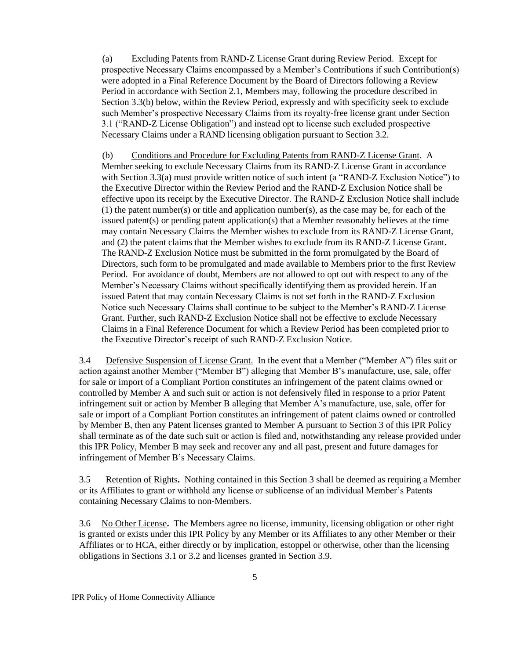(a) Excluding Patents from RAND-Z License Grant during Review Period. Except for prospective Necessary Claims encompassed by a Member's Contributions if such Contribution(s) were adopted in a Final Reference Document by the Board of Directors following a Review Period in accordance with Section 2.1, Members may, following the procedure described in Section 3.3(b) below, within the Review Period, expressly and with specificity seek to exclude such Member's prospective Necessary Claims from its royalty-free license grant under Section 3.1 ("RAND-Z License Obligation") and instead opt to license such excluded prospective Necessary Claims under a RAND licensing obligation pursuant to Section 3.2.

(b) Conditions and Procedure for Excluding Patents from RAND-Z License Grant. A Member seeking to exclude Necessary Claims from its RAND-Z License Grant in accordance with Section 3.3(a) must provide written notice of such intent (a "RAND-Z Exclusion Notice") to the Executive Director within the Review Period and the RAND-Z Exclusion Notice shall be effective upon its receipt by the Executive Director. The RAND-Z Exclusion Notice shall include (1) the patent number(s) or title and application number(s), as the case may be, for each of the issued patent(s) or pending patent application(s) that a Member reasonably believes at the time may contain Necessary Claims the Member wishes to exclude from its RAND-Z License Grant, and (2) the patent claims that the Member wishes to exclude from its RAND-Z License Grant. The RAND-Z Exclusion Notice must be submitted in the form promulgated by the Board of Directors, such form to be promulgated and made available to Members prior to the first Review Period. For avoidance of doubt, Members are not allowed to opt out with respect to any of the Member's Necessary Claims without specifically identifying them as provided herein. If an issued Patent that may contain Necessary Claims is not set forth in the RAND-Z Exclusion Notice such Necessary Claims shall continue to be subject to the Member's RAND-Z License Grant. Further, such RAND-Z Exclusion Notice shall not be effective to exclude Necessary Claims in a Final Reference Document for which a Review Period has been completed prior to the Executive Director's receipt of such RAND-Z Exclusion Notice.

3.4 Defensive Suspension of License Grant. In the event that a Member ("Member A") files suit or action against another Member ("Member B") alleging that Member B's manufacture, use, sale, offer for sale or import of a Compliant Portion constitutes an infringement of the patent claims owned or controlled by Member A and such suit or action is not defensively filed in response to a prior Patent infringement suit or action by Member B alleging that Member A's manufacture, use, sale, offer for sale or import of a Compliant Portion constitutes an infringement of patent claims owned or controlled by Member B, then any Patent licenses granted to Member A pursuant to Section 3 of this IPR Policy shall terminate as of the date such suit or action is filed and, notwithstanding any release provided under this IPR Policy, Member B may seek and recover any and all past, present and future damages for infringement of Member B's Necessary Claims.

3.5 Retention of Rights**.** Nothing contained in this Section 3 shall be deemed as requiring a Member or its Affiliates to grant or withhold any license or sublicense of an individual Member's Patents containing Necessary Claims to non-Members.

3.6 No Other License**.** The Members agree no license, immunity, licensing obligation or other right is granted or exists under this IPR Policy by any Member or its Affiliates to any other Member or their Affiliates or to HCA, either directly or by implication, estoppel or otherwise, other than the licensing obligations in Sections 3.1 or 3.2 and licenses granted in Section 3.9.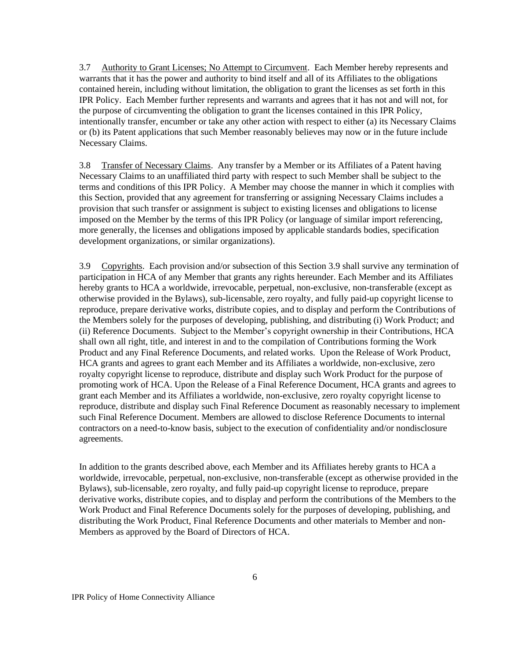3.7 Authority to Grant Licenses; No Attempt to Circumvent. Each Member hereby represents and warrants that it has the power and authority to bind itself and all of its Affiliates to the obligations contained herein, including without limitation, the obligation to grant the licenses as set forth in this IPR Policy. Each Member further represents and warrants and agrees that it has not and will not, for the purpose of circumventing the obligation to grant the licenses contained in this IPR Policy, intentionally transfer, encumber or take any other action with respect to either (a) its Necessary Claims or (b) its Patent applications that such Member reasonably believes may now or in the future include Necessary Claims.

3.8 Transfer of Necessary Claims. Any transfer by a Member or its Affiliates of a Patent having Necessary Claims to an unaffiliated third party with respect to such Member shall be subject to the terms and conditions of this IPR Policy. A Member may choose the manner in which it complies with this Section, provided that any agreement for transferring or assigning Necessary Claims includes a provision that such transfer or assignment is subject to existing licenses and obligations to license imposed on the Member by the terms of this IPR Policy (or language of similar import referencing, more generally, the licenses and obligations imposed by applicable standards bodies, specification development organizations, or similar organizations).

3.9 Copyrights.Each provision and/or subsection of this Section 3.9 shall survive any termination of participation in HCA of any Member that grants any rights hereunder. Each Member and its Affiliates hereby grants to HCA a worldwide, irrevocable, perpetual, non-exclusive, non-transferable (except as otherwise provided in the Bylaws), sub-licensable, zero royalty, and fully paid-up copyright license to reproduce, prepare derivative works, distribute copies, and to display and perform the Contributions of the Members solely for the purposes of developing, publishing, and distributing (i) Work Product; and (ii) Reference Documents. Subject to the Member's copyright ownership in their Contributions, HCA shall own all right, title, and interest in and to the compilation of Contributions forming the Work Product and any Final Reference Documents, and related works. Upon the Release of Work Product, HCA grants and agrees to grant each Member and its Affiliates a worldwide, non-exclusive, zero royalty copyright license to reproduce, distribute and display such Work Product for the purpose of promoting work of HCA. Upon the Release of a Final Reference Document, HCA grants and agrees to grant each Member and its Affiliates a worldwide, non-exclusive, zero royalty copyright license to reproduce, distribute and display such Final Reference Document as reasonably necessary to implement such Final Reference Document. Members are allowed to disclose Reference Documents to internal contractors on a need-to-know basis, subject to the execution of confidentiality and/or nondisclosure agreements.

In addition to the grants described above, each Member and its Affiliates hereby grants to HCA a worldwide, irrevocable, perpetual, non-exclusive, non-transferable (except as otherwise provided in the Bylaws), sub-licensable, zero royalty, and fully paid-up copyright license to reproduce, prepare derivative works, distribute copies, and to display and perform the contributions of the Members to the Work Product and Final Reference Documents solely for the purposes of developing, publishing, and distributing the Work Product, Final Reference Documents and other materials to Member and non-Members as approved by the Board of Directors of HCA.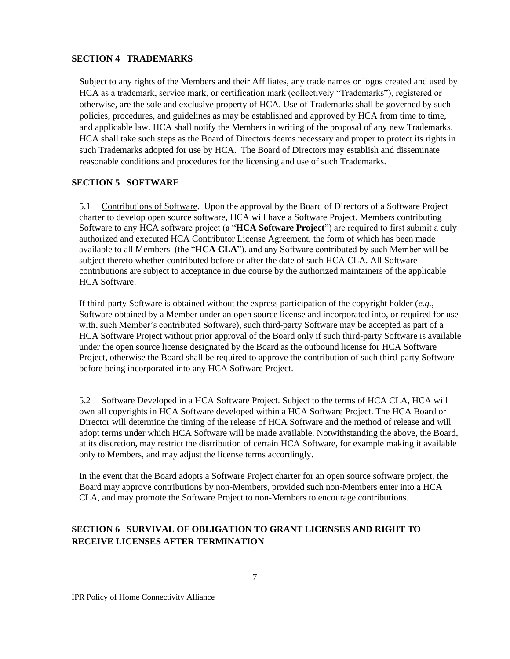#### **SECTION 4 TRADEMARKS**

Subject to any rights of the Members and their Affiliates, any trade names or logos created and used by HCA as a trademark, service mark, or certification mark (collectively "Trademarks"), registered or otherwise, are the sole and exclusive property of HCA. Use of Trademarks shall be governed by such policies, procedures, and guidelines as may be established and approved by HCA from time to time, and applicable law. HCA shall notify the Members in writing of the proposal of any new Trademarks. HCA shall take such steps as the Board of Directors deems necessary and proper to protect its rights in such Trademarks adopted for use by HCA. The Board of Directors may establish and disseminate reasonable conditions and procedures for the licensing and use of such Trademarks.

### **SECTION 5 SOFTWARE**

5.1 Contributions of Software. Upon the approval by the Board of Directors of a Software Project charter to develop open source software, HCA will have a Software Project. Members contributing Software to any HCA software project (a "**HCA Software Project**") are required to first submit a duly authorized and executed HCA Contributor License Agreement, the form of which has been made available to all Members (the "**HCA CLA**"), and any Software contributed by such Member will be subject thereto whether contributed before or after the date of such HCA CLA. All Software contributions are subject to acceptance in due course by the authorized maintainers of the applicable HCA Software.

If third-party Software is obtained without the express participation of the copyright holder (*e.g.*, Software obtained by a Member under an open source license and incorporated into, or required for use with, such Member's contributed Software), such third-party Software may be accepted as part of a HCA Software Project without prior approval of the Board only if such third-party Software is available under the open source license designated by the Board as the outbound license for HCA Software Project, otherwise the Board shall be required to approve the contribution of such third-party Software before being incorporated into any HCA Software Project.

5.2 Software Developed in a HCA Software Project. Subject to the terms of HCA CLA, HCA will own all copyrights in HCA Software developed within a HCA Software Project. The HCA Board or Director will determine the timing of the release of HCA Software and the method of release and will adopt terms under which HCA Software will be made available. Notwithstanding the above, the Board, at its discretion, may restrict the distribution of certain HCA Software, for example making it available only to Members, and may adjust the license terms accordingly.

In the event that the Board adopts a Software Project charter for an open source software project, the Board may approve contributions by non-Members, provided such non-Members enter into a HCA CLA, and may promote the Software Project to non-Members to encourage contributions.

# **SECTION 6 SURVIVAL OF OBLIGATION TO GRANT LICENSES AND RIGHT TO RECEIVE LICENSES AFTER TERMINATION**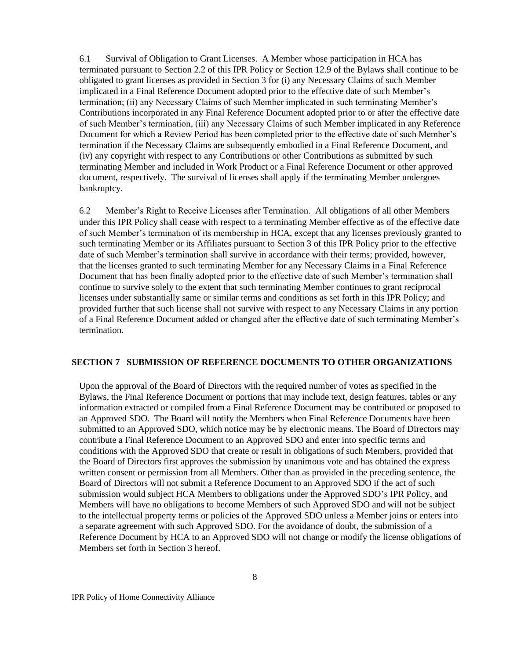6.1 Survival of Obligation to Grant Licenses. A Member whose participation in HCA has terminated pursuant to Section 2.2 of this IPR Policy or Section 12.9 of the Bylaws shall continue to be obligated to grant licenses as provided in Section 3 for (i) any Necessary Claims of such Member implicated in a Final Reference Document adopted prior to the effective date of such Member's termination; (ii) any Necessary Claims of such Member implicated in such terminating Member's Contributions incorporated in any Final Reference Document adopted prior to or after the effective date of such Member's termination, (iii) any Necessary Claims of such Member implicated in any Reference Document for which a Review Period has been completed prior to the effective date of such Member's termination if the Necessary Claims are subsequently embodied in a Final Reference Document, and (iv) any copyright with respect to any Contributions or other Contributions as submitted by such terminating Member and included in Work Product or a Final Reference Document or other approved document, respectively. The survival of licenses shall apply if the terminating Member undergoes bankruptcy.

6.2 Member's Right to Receive Licenses after Termination. All obligations of all other Members under this IPR Policy shall cease with respect to a terminating Member effective as of the effective date of such Member's termination of its membership in HCA, except that any licenses previously granted to such terminating Member or its Affiliates pursuant to Section 3 of this IPR Policy prior to the effective date of such Member's termination shall survive in accordance with their terms; provided, however, that the licenses granted to such terminating Member for any Necessary Claims in a Final Reference Document that has been finally adopted prior to the effective date of such Member's termination shall continue to survive solely to the extent that such terminating Member continues to grant reciprocal licenses under substantially same or similar terms and conditions as set forth in this IPR Policy; and provided further that such license shall not survive with respect to any Necessary Claims in any portion of a Final Reference Document added or changed after the effective date of such terminating Member's termination.

#### **SECTION 7 SUBMISSION OF REFERENCE DOCUMENTS TO OTHER ORGANIZATIONS**

Upon the approval of the Board of Directors with the required number of votes as specified in the Bylaws, the Final Reference Document or portions that may include text, design features, tables or any information extracted or compiled from a Final Reference Document may be contributed or proposed to an Approved SDO. The Board will notify the Members when Final Reference Documents have been submitted to an Approved SDO, which notice may be by electronic means. The Board of Directors may contribute a Final Reference Document to an Approved SDO and enter into specific terms and conditions with the Approved SDO that create or result in obligations of such Members, provided that the Board of Directors first approves the submission by unanimous vote and has obtained the express written consent or permission from all Members. Other than as provided in the preceding sentence, the Board of Directors will not submit a Reference Document to an Approved SDO if the act of such submission would subject HCA Members to obligations under the Approved SDO's IPR Policy, and Members will have no obligations to become Members of such Approved SDO and will not be subject to the intellectual property terms or policies of the Approved SDO unless a Member joins or enters into a separate agreement with such Approved SDO. For the avoidance of doubt, the submission of a Reference Document by HCA to an Approved SDO will not change or modify the license obligations of Members set forth in Section 3 hereof.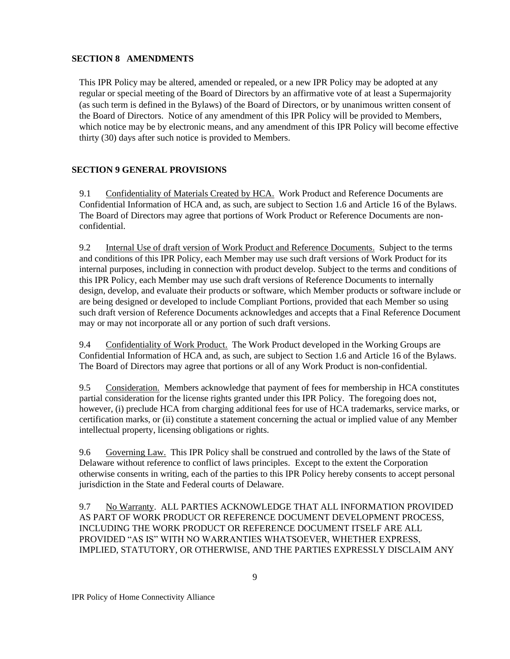## **SECTION 8 AMENDMENTS**

This IPR Policy may be altered, amended or repealed, or a new IPR Policy may be adopted at any regular or special meeting of the Board of Directors by an affirmative vote of at least a Supermajority (as such term is defined in the Bylaws) of the Board of Directors, or by unanimous written consent of the Board of Directors. Notice of any amendment of this IPR Policy will be provided to Members, which notice may be by electronic means, and any amendment of this IPR Policy will become effective thirty (30) days after such notice is provided to Members.

# **SECTION 9 GENERAL PROVISIONS**

9.1 Confidentiality of Materials Created by HCA. Work Product and Reference Documents are Confidential Information of HCA and, as such, are subject to Section 1.6 and Article 16 of the Bylaws. The Board of Directors may agree that portions of Work Product or Reference Documents are nonconfidential.

9.2 Internal Use of draft version of Work Product and Reference Documents. Subject to the terms and conditions of this IPR Policy, each Member may use such draft versions of Work Product for its internal purposes, including in connection with product develop. Subject to the terms and conditions of this IPR Policy, each Member may use such draft versions of Reference Documents to internally design, develop, and evaluate their products or software, which Member products or software include or are being designed or developed to include Compliant Portions, provided that each Member so using such draft version of Reference Documents acknowledges and accepts that a Final Reference Document may or may not incorporate all or any portion of such draft versions.

9.4 Confidentiality of Work Product. The Work Product developed in the Working Groups are Confidential Information of HCA and, as such, are subject to Section 1.6 and Article 16 of the Bylaws. The Board of Directors may agree that portions or all of any Work Product is non-confidential.

9.5 Consideration. Members acknowledge that payment of fees for membership in HCA constitutes partial consideration for the license rights granted under this IPR Policy. The foregoing does not, however, (i) preclude HCA from charging additional fees for use of HCA trademarks, service marks, or certification marks, or (ii) constitute a statement concerning the actual or implied value of any Member intellectual property, licensing obligations or rights.

9.6 Governing Law. This IPR Policy shall be construed and controlled by the laws of the State of Delaware without reference to conflict of laws principles. Except to the extent the Corporation otherwise consents in writing, each of the parties to this IPR Policy hereby consents to accept personal jurisdiction in the State and Federal courts of Delaware.

9.7 No Warranty. ALL PARTIES ACKNOWLEDGE THAT ALL INFORMATION PROVIDED AS PART OF WORK PRODUCT OR REFERENCE DOCUMENT DEVELOPMENT PROCESS, INCLUDING THE WORK PRODUCT OR REFERENCE DOCUMENT ITSELF ARE ALL PROVIDED "AS IS" WITH NO WARRANTIES WHATSOEVER, WHETHER EXPRESS, IMPLIED, STATUTORY, OR OTHERWISE, AND THE PARTIES EXPRESSLY DISCLAIM ANY